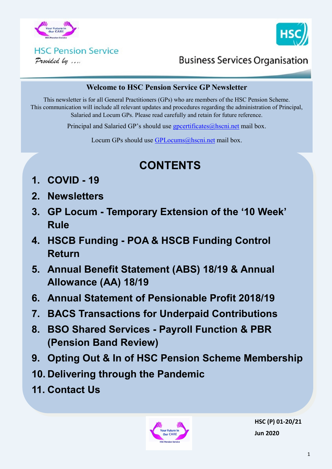



### **HSC Pension Service** Provided by ....

**Business Services Organisation** 

#### **Welcome to HSC Pension Service GP Newsletter**

This newsletter is for all General Practitioners (GPs) who are members of the HSC Pension Scheme. This communication will include all relevant updates and procedures regarding the administration of Principal, Salaried and Locum GPs. Please read carefully and retain for future reference.

Principal and Salaried GP's should use [gpcertificates@hscni.net](mailto:gpcertificates@hscni.net) mail box.

Locum GPs should use [GPLocums@hscni.net](mailto:GPLocums@hscni.net) mail box.

# **CONTENTS**

- **1. COVID - 19**
- **2. Newsletters**
- **3. GP Locum - Temporary Extension of the '10 Week' Rule**
- **4. HSCB Funding - POA & HSCB Funding Control Return**
- **5. Annual Benefit Statement (ABS) 18/19 & Annual Allowance (AA) 18/19**
- **6. Annual Statement of Pensionable Profit 2018/19**
- **7. BACS Transactions for Underpaid Contributions**
- **8. BSO Shared Services - Payroll Function & PBR (Pension Band Review)**
- **9. Opting Out & In of HSC Pension Scheme Membership**
- **10. Delivering through the Pandemic**
- **11. Contact Us**



**HSC (P) 01-20/21 Jun 2020**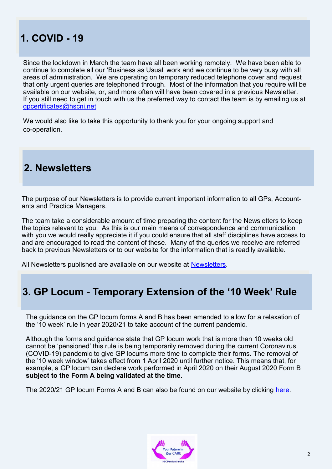## **1. COVID - 19**

Since the lockdown in March the team have all been working remotely. We have been able to continue to complete all our 'Business as Usual' work and we continue to be very busy with all areas of administration. We are operating on temporary reduced telephone cover and request that only urgent queries are telephoned through. Most of the information that you require will be available on our website, or, and more often will have been covered in a previous Newsletter. If you still need to get in touch with us the preferred way to contact the team is by emailing us at [gpcertificates@hscni.net](mailto:gpcertificates@hscni.net)

We would also like to take this opportunity to thank you for your ongoing support and co-operation.

### **2. Newsletters**

The purpose of our Newsletters is to provide current important information to all GPs, Accountants and Practice Managers.

The team take a considerable amount of time preparing the content for the Newsletters to keep the topics relevant to you. As this is our main means of correspondence and communication with you we would really appreciate it if you could ensure that all staff disciplines have access to and are encouraged to read the content of these. Many of the queries we receive are referred back to previous Newsletters or to our website for the information that is readily available.

All Newsletters published are available on our website at **Newsletters**.

## **3. GP Locum - Temporary Extension of the '10 Week' Rule**

The guidance on the GP locum forms A and B has been amended to allow for a relaxation of the '10 week' rule in year 2020/21 to take account of the current pandemic.

Although the forms and guidance state that GP locum work that is more than 10 weeks old cannot be 'pensioned' this rule is being temporarily removed during the current Coronavirus (COVID-19) pandemic to give GP locums more time to complete their forms. The removal of the '10 week window' takes effect from 1 April 2020 until further notice. This means that, for example, a GP locum can declare work performed in April 2020 on their August 2020 Form B **subject to the Form A being validated at the time.**

The 2020/21 GP locum Forms A and B can also be found on our website by clicking [here.](http://www.hscpensions.hscni.net/hscpensions/practitioners/locum/)

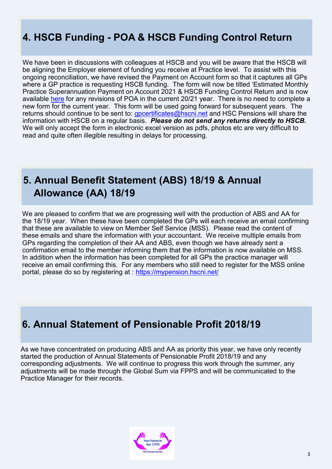# **4. HSCB Funding - POA & HSCB Funding Control Return**

We have been in discussions with colleagues at HSCB and you will be aware that the HSCB will be aligning the Employer element of funding you receive at Practice level. To assist with this ongoing reconciliation, we have revised the Payment on Account form so that it captures all GPs where a GP practice is requesting HSCB funding. The form will now be titled 'Estimated Monthly Practice Superannuation Payment on Account 2021 & HSCB Funding Control Return and is now available [here](http://www.hscpensions.hscni.net/download/Practitioners/Estimated-Monthly-Practice-Superannuation-Payment-on-Account-2021-and-HSCB-Funding-Control-return.xlsx) for any revisions of POA in the current 20/21 year. There is no need to complete a new form for the current year. This form will be used going forward for subsequent years. The returns should continue to be sent to: *gpcertificates@hscni.net* and HSC Pensions will share the information with HSCB on a regular basis. *Please do not send any returns directly to HSCB.* We will only accept the form in electronic excel version as pdfs, photos etc are very difficult to read and quite often illegible resulting in delays for processing.

## **5. Annual Benefit Statement (ABS) 18/19 & Annual Allowance (AA) 18/19**

We are pleased to confirm that we are progressing well with the production of ABS and AA for the 18/19 year. When these have been completed the GPs will each receive an email confirming that these are available to view on Member Self Service (MSS). Please read the content of these emails and share the information with your accountant. We receive multiple emails from GPs regarding the completion of their AA and ABS, even though we have already sent a confirmation email to the member informing them that the information is now available on MSS. In addition when the information has been completed for all GPs the practice manager will receive an email confirming this. For any members who still need to register for the MSS online portal, please do so by registering at : <https://mypension.hscni.net/>

## **6. Annual Statement of Pensionable Profit 2018/19**

As we have concentrated on producing ABS and AA as priority this year, we have only recently started the production of Annual Statements of Pensionable Profit 2018/19 and any corresponding adjustments. We will continue to progress this work through the summer, any adjustments will be made through the Global Sum via FPPS and will be communicated to the Practice Manager for their records.

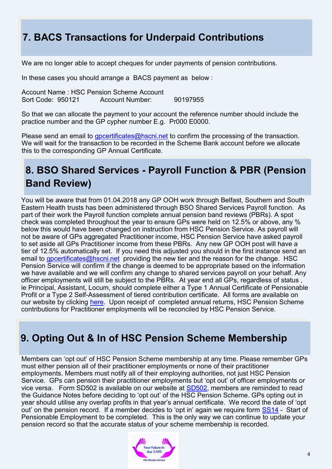# **7. BACS Transactions for Underpaid Contributions**

We are no longer able to accept cheques for under payments of pension contributions.

In these cases you should arrange a BACS payment as below :

Account Name : HSC Pension Scheme Account Sort Code: 950121 Account Number: 90197955

So that we can allocate the payment to your account the reference number should include the practice number and the GP cypher number E.g. Pr000 E0000.

Please send an email to [gpcertificates@hscni.net](mailto:gpcertificates@hscni.net) to confirm the processing of the transaction. We will wait for the transaction to be recorded in the Scheme Bank account before we allocate this to the corresponding GP Annual Certificate.

# **8. BSO Shared Services - Payroll Function & PBR (Pension Band Review)**

You will be aware that from 01.04.2018 any GP OOH work through Belfast, Southern and South Eastern Health trusts has been administered through BSO Shared Services Payroll function. As part of their work the Payroll function complete annual pension band reviews (PBRs). A spot check was completed throughout the year to ensure GPs were held on 12.5% or above, any % below this would have been changed on instruction from HSC Pension Service. As payroll will not be aware of GPs aggregated Practitioner income, HSC Pension Service have asked payroll to set aside all GPs Practitioner income from these PBRs. Any new GP OOH post will have a tier of 12.5% automatically set. If you need this adjusted you should in the first instance send an email to [gpcertificates@hscni.net](mailto:gpcertificates@hscni.net) providing the new tier and the reason for the change. HSC Pension Service will confirm if the change is deemed to be appropriate based on the information we have available and we will confirm any change to shared services payroll on your behalf. Any officer employments will still be subject to the PBRs. At year end all GPs, regardless of status , ie Principal, Assistant, Locum, should complete either a Type 1 Annual Certificate of Pensionable Profit or a Type 2 Self-Assessment of tiered contribution certificate. All forms are available on our website by clicking [here.](http://www.hscpensions.hscni.net/hscpensions/practitioners/) Upon receipt of completed annual returns, HSC Pension Scheme contributions for Practitioner employments will be reconciled by HSC Pension Service.

## **9. Opting Out & In of HSC Pension Scheme Membership**

Members can 'opt out' of HSC Pension Scheme membership at any time. Please remember GPs must either pension all of their practitioner employments or none of their practitioner employments. Members must notify all of their employing authorities, not just HSC Pension Service. GPs can pension their practitioner employments but 'opt out' of officer employments or vice versa. Form SD502 is available on our website at [SD502,](http://www.hscpensions.hscni.net/download/Scheme%20Forms/member_forms/SD502-6.pdf) members are reminded to read the Guidance Notes before deciding to 'opt out' of the HSC Pension Scheme. GPs opting out in year should utilise any overlap profits in that year's annual certificate. We record the date of 'opt out' on the pension record. If a member decides to 'opt in' again we require form [SS14](http://www.hscpensions.hscni.net/download/Scheme%20Forms/SS14-Oct-18-1.pdf) - Start of Pensionable Employment to be completed. This is the only way we can continue to update your pension record so that the accurate status of your scheme membership is recorded.

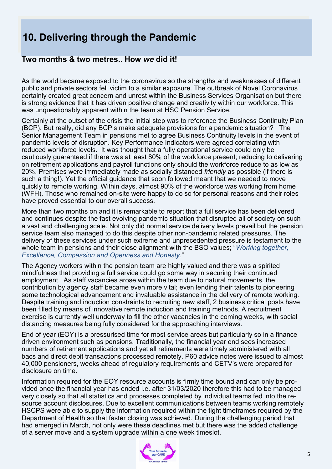# **10. Delivering through the Pandemic**

### **Two months & two metres.. How** *we* **did it!**

As the world became exposed to the coronavirus so the strengths and weaknesses of different public and private sectors fell victim to a similar exposure. The outbreak of Novel Coronavirus certainly created great concern and unrest within the Business Services Organisation but there is strong evidence that it has driven positive change and creativity within our workforce. This was unquestionably apparent within the team at HSC Pension Service.

Certainly at the outset of the crisis the initial step was to reference the Business Continuity Plan (BCP). But really, did any BCP's make adequate provisions for a pandemic situation? The Senior Management Team in pensions met to agree Business Continuity levels in the event of pandemic levels of disruption. Key Performance Indicators were agreed correlating with reduced workforce levels. It was thought that a fully operational service could only be cautiously guaranteed if there was at least 80% of the workforce present; reducing to delivering on retirement applications and payroll functions only should the workforce reduce to as low as 20%. Premises were immediately made as socially distanced *friendly* as possible (if there is such a thing!). Yet the official guidance that soon followed meant that we needed to move quickly to remote working. Within days, almost 90% of the workforce was working from home (WFH). Those who remained on-site were happy to do so for personal reasons and their roles have proved essential to our overall success.

More than two months on and it is remarkable to report that a full service has been delivered and continues despite the fast evolving pandemic situation that disrupted all of society on such a vast and challenging scale. Not only did normal service delivery levels prevail but the pension service team also managed to do this despite other non-pandemic related pressures. The delivery of these services under such extreme and unprecedented pressure is testament to the whole team in pensions and their close alignment with the BSO values; "*Working together, Excellence, Compassion and Openness and Honesty*."

The Agency workers within the pension team are highly valued and there was a spirited mindfulness that providing a full service could go some way in securing their continued employment. As staff vacancies arose within the team due to natural movements, the contribution by agency staff became even more vital; even lending their talents to pioneering some technological advancement and invaluable assistance in the delivery of remote working. Despite training and induction constraints to recruiting new staff, 2 business critical posts have been filled by means of innovative remote induction and training methods. A recruitment exercise is currently well underway to fill the other vacancies in the coming weeks, with social distancing measures being fully considered for the approaching interviews.

End of year (EOY) is a pressurised time for most service areas but particularly so in a finance driven environment such as pensions. Traditionally, the financial year end sees increased numbers of retirement applications and yet all retirements were timely administered with all bacs and direct debit transactions processed remotely. P60 advice notes were issued to almost 40,000 pensioners, weeks ahead of regulatory requirements and CETV's were prepared for disclosure on time.

Information required for the EOY resource accounts is firmly time bound and can only be provided once the financial year has ended i.e. after 31/03/2020 therefore this had to be managed very closely so that all statistics and processes completed by individual teams fed into the resource account disclosures. Due to excellent communications between teams working remotely HSCPS were able to supply the information required within the tight timeframes required by the Department of Health so that faster closing was achieved. During the challenging period that had emerged in March, not only were these deadlines met but there was the added challenge of a server move and a system upgrade within a one week timeslot.

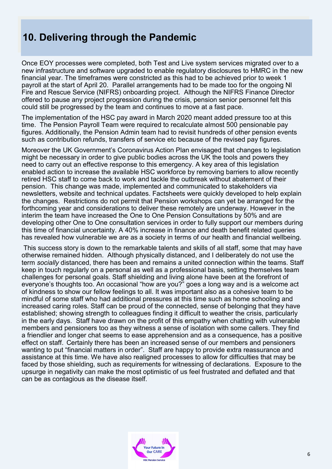## **10. Delivering through the Pandemic**

Once EOY processes were completed, both Test and Live system services migrated over to a new infrastructure and software upgraded to enable regulatory disclosures to HMRC in the new financial year. The timeframes were constricted as this had to be achieved prior to week 1 payroll at the start of April 20. Parallel arrangements had to be made too for the ongoing NI Fire and Rescue Service (NIFRS) onboarding project. Although the NIFRS Finance Director offered to pause any project progression during the crisis, pension senior personnel felt this could still be progressed by the team and continues to move at a fast pace.

The implementation of the HSC pay award in March 2020 meant added pressure too at this time. The Pension Payroll Team were required to recalculate almost 500 pensionable pay figures. Additionally, the Pension Admin team had to revisit hundreds of other pension events such as contribution refunds, transfers of service etc because of the revised pay figures.

Moreover the UK Government's Coronavirus Action Plan envisaged that changes to legislation might be necessary in order to give public bodies across the UK the tools and powers they need to carry out an effective response to this emergency. A key area of this legislation enabled action to increase the available HSC workforce by removing barriers to allow recently retired HSC staff to come back to work and tackle the outbreak without abatement of their pension. This change was made, implemented and communicated to stakeholders via newsletters, website and technical updates. Factsheets were quickly developed to help explain the changes. Restrictions do not permit that Pension workshops can yet be arranged for the forthcoming year and considerations to deliver these remotely are underway. However in the interim the team have increased the One to One Pension Consultations by 50% and are developing other One to One consultation services in order to fully support our members during this time of financial uncertainty. A 40% increase in finance and death benefit related queries has revealed how vulnerable we are as a society in terms of our health and financial wellbeing.

This success story is down to the remarkable talents and skills of all staff, some that may have otherwise remained hidden. Although physically distanced, and I deliberately do not use the term *socially* distanced, there has been and remains a united connection within the teams. Staff keep in touch regularly on a personal as well as a professional basis, setting themselves team challenges for personal goals. Staff shielding and living alone have been at the forefront of everyone's thoughts too. An occasional "how are you?" goes a long way and is a welcome act of kindness to show our fellow feelings to all. It was important also as a cohesive team to be mindful of some staff who had additional pressures at this time such as home schooling and increased caring roles. Staff can be proud of the connected, sense of belonging that they have established; showing strength to colleagues finding it difficult to weather the crisis, particularly in the early days. Staff have drawn on the profit of this empathy when chatting with vulnerable members and pensioners too as they witness a sense of isolation with some callers. They find a friendlier and longer chat seems to ease apprehension and as a consequence, has a positive effect on staff. Certainly there has been an increased sense of our members and pensioners wanting to put "financial matters in order". Staff are happy to provide extra reassurance and assistance at this time. We have also realigned processes to allow for difficulties that may be faced by those shielding, such as requirements for witnessing of declarations. Exposure to the upsurge in negativity can make the most optimistic of us feel frustrated and deflated and that can be as contagious as the disease itself.

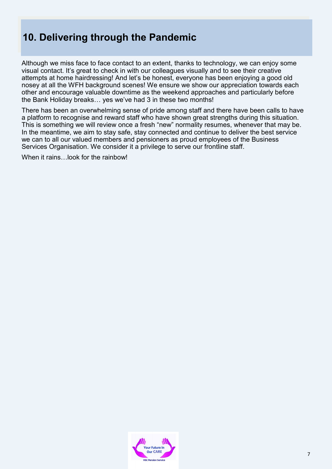# **10. Delivering through the Pandemic**

Although we miss face to face contact to an extent, thanks to technology, we can enjoy some visual contact. It's great to check in with our colleagues visually and to see their creative attempts at home hairdressing! And let's be honest, everyone has been enjoying a good old nosey at all the WFH background scenes! We ensure we show our appreciation towards each other and encourage valuable downtime as the weekend approaches and particularly before the Bank Holiday breaks… yes we've had 3 in these two months!

There has been an overwhelming sense of pride among staff and there have been calls to have a platform to recognise and reward staff who have shown great strengths during this situation. This is something we will review once a fresh "new" normality resumes, whenever that may be. In the meantime, we aim to stay safe, stay connected and continue to deliver the best service we can to all our valued members and pensioners as proud employees of the Business Services Organisation. We consider it a privilege to serve our frontline staff.

When it rains...look for the rainbow!